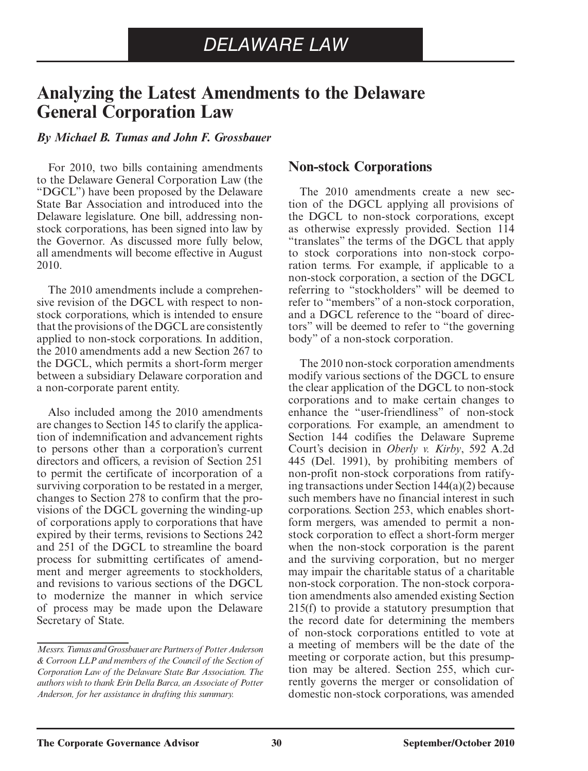# **Analyzing the Latest Amendments to the Delaware General Corporation Law**

#### *By Michael B. Tumas and John F. Grossbauer*

 For 2010, two bills containing amendments to the Delaware General Corporation Law (the "DGCL") have been proposed by the Delaware State Bar Association and introduced into the Delaware legislature. One bill, addressing nonstock corporations, has been signed into law by the Governor. As discussed more fully below, all amendments will become effective in August 2010.

 The 2010 amendments include a comprehensive revision of the DGCL with respect to nonstock corporations, which is intended to ensure that the provisions of the DGCL are consistently applied to non-stock corporations. In addition, the 2010 amendments add a new Section 267 to the DGCL, which permits a short-form merger between a subsidiary Delaware corporation and a non-corporate parent entity.

 Also included among the 2010 amendments are changes to Section 145 to clarify the application of indemnification and advancement rights to persons other than a corporation's current directors and officers, a revision of Section 251 to permit the certificate of incorporation of a surviving corporation to be restated in a merger, changes to Section 278 to confirm that the provisions of the DGCL governing the winding-up of corporations apply to corporations that have expired by their terms, revisions to Sections 242 and 251 of the DGCL to streamline the board process for submitting certificates of amendment and merger agreements to stockholders, and revisions to various sections of the DGCL to modernize the manner in which service of process may be made upon the Delaware Secretary of State.

#### **Non-stock Corporations**

 The 2010 amendments create a new section of the DGCL applying all provisions of the DGCL to non-stock corporations, except as otherwise expressly provided. Section 114 "translates" the terms of the DGCL that apply to stock corporations into non-stock corporation terms. For example, if applicable to a non-stock corporation, a section of the DGCL referring to "stockholders" will be deemed to refer to "members" of a non-stock corporation, and a DGCL reference to the "board of directors" will be deemed to refer to "the governing body" of a non-stock corporation.

 The 2010 non-stock corporation amendments modify various sections of the DGCL to ensure the clear application of the DGCL to non-stock corporations and to make certain changes to enhance the "user-friendliness" of non-stock corporations. For example, an amendment to Section 144 codifies the Delaware Supreme Court's decision in *Oberly v. Kirby* , 592 A.2d 445 (Del. 1991), by prohibiting members of non-profit non-stock corporations from ratifying transactions under Section 144(a)(2) because such members have no financial interest in such corporations. Section 253, which enables shortform mergers, was amended to permit a nonstock corporation to effect a short-form merger when the non-stock corporation is the parent and the surviving corporation, but no merger may impair the charitable status of a charitable non-stock corporation. The non-stock corporation amendments also amended existing Section 215(f) to provide a statutory presumption that the record date for determining the members of non-stock corporations entitled to vote at a meeting of members will be the date of the meeting or corporate action, but this presumption may be altered. Section 255, which currently governs the merger or consolidation of domestic non-stock corporations, was amended

*Messrs. Tumas and Grossbauer are Partners of Potter Anderson & Corroon LLP and members of the Council of the Section of Corporation Law of the Delaware State Bar Association. The authors wish to thank Erin Della Barca, an Associate of Potter Anderson, for her assistance in drafting this summary.*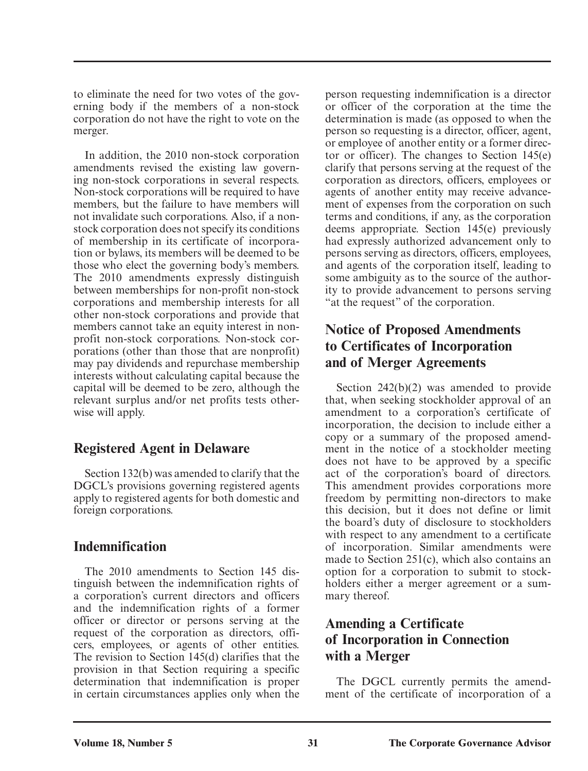to eliminate the need for two votes of the governing body if the members of a non-stock corporation do not have the right to vote on the merger.

 In addition, the 2010 non-stock corporation amendments revised the existing law governing non-stock corporations in several respects. Non-stock corporations will be required to have members, but the failure to have members will not invalidate such corporations. Also, if a nonstock corporation does not specify its conditions of membership in its certificate of incorporation or bylaws, its members will be deemed to be those who elect the governing body's members. The 2010 amendments expressly distinguish between memberships for non-profit non-stock corporations and membership interests for all other non-stock corporations and provide that members cannot take an equity interest in nonprofit non-stock corporations. Non-stock corporations (other than those that are nonprofit) may pay dividends and repurchase membership interests without calculating capital because the capital will be deemed to be zero, although the relevant surplus and/or net profits tests otherwise will apply.

# **Registered Agent in Delaware**

 Section 132(b) was amended to clarify that the DGCL's provisions governing registered agents apply to registered agents for both domestic and foreign corporations.

# **Indemnification**

 The 2010 amendments to Section 145 distinguish between the indemnification rights of a corporation's current directors and officers and the indemnification rights of a former officer or director or persons serving at the request of the corporation as directors, officers, employees, or agents of other entities. The revision to Section 145(d) clarifies that the provision in that Section requiring a specific determination that indemnification is proper in certain circumstances applies only when the person requesting indemnification is a director or officer of the corporation at the time the determination is made (as opposed to when the person so requesting is a director, officer, agent, or employee of another entity or a former director or officer). The changes to Section 145(e) clarify that persons serving at the request of the corporation as directors, officers, employees or agents of another entity may receive advancement of expenses from the corporation on such terms and conditions, if any, as the corporation deems appropriate. Section 145(e) previously had expressly authorized advancement only to persons serving as directors, officers, employees, and agents of the corporation itself, leading to some ambiguity as to the source of the authority to provide advancement to persons serving "at the request" of the corporation.

# **Notice of Proposed Amendments to Certificates of Incorporation and of Merger Agreements**

 Section 242(b)(2) was amended to provide that, when seeking stockholder approval of an amendment to a corporation's certificate of incorporation, the decision to include either a copy or a summary of the proposed amendment in the notice of a stockholder meeting does not have to be approved by a specific act of the corporation's board of directors. This amendment provides corporations more freedom by permitting non-directors to make this decision, but it does not define or limit the board's duty of disclosure to stockholders with respect to any amendment to a certificate of incorporation. Similar amendments were made to Section 251(c), which also contains an option for a corporation to submit to stockholders either a merger agreement or a summary thereof.

# **Amending a Certificate of Incorporation in Connection with a Merger**

 The DGCL currently permits the amendment of the certificate of incorporation of a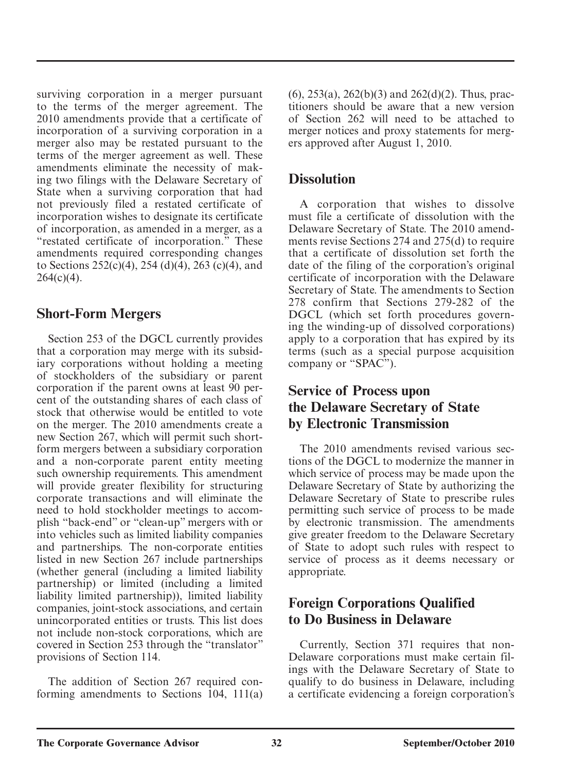surviving corporation in a merger pursuant to the terms of the merger agreement. The 2010 amendments provide that a certificate of incorporation of a surviving corporation in a merger also may be restated pursuant to the terms of the merger agreement as well. These amendments eliminate the necessity of making two filings with the Delaware Secretary of State when a surviving corporation that had not previously filed a restated certificate of incorporation wishes to designate its certificate of incorporation, as amended in a merger, as a "restated certificate of incorporation." These amendments required corresponding changes to Sections 252(c)(4), 254 (d)(4), 263 (c)(4), and  $264(c)(4)$ .

# **Short-Form Mergers**

 Section 253 of the DGCL currently provides that a corporation may merge with its subsidiary corporations without holding a meeting of stockholders of the subsidiary or parent corporation if the parent owns at least 90 percent of the outstanding shares of each class of stock that otherwise would be entitled to vote on the merger. The 2010 amendments create a new Section 267, which will permit such shortform mergers between a subsidiary corporation and a non-corporate parent entity meeting such ownership requirements. This amendment will provide greater flexibility for structuring corporate transactions and will eliminate the need to hold stockholder meetings to accomplish "back-end" or "clean-up" mergers with or into vehicles such as limited liability companies and partnerships. The non-corporate entities listed in new Section 267 include partnerships (whether general (including a limited liability partnership) or limited (including a limited liability limited partnership)), limited liability companies, joint-stock associations, and certain unincorporated entities or trusts. This list does not include non-stock corporations, which are covered in Section 253 through the "translator" provisions of Section 114.

 The addition of Section 267 required conforming amendments to Sections 104, 111(a)  $(6)$ , 253(a), 262(b)(3) and 262(d)(2). Thus, practitioners should be aware that a new version of Section 262 will need to be attached to merger notices and proxy statements for mergers approved after August 1, 2010.

### **Dissolution**

 A corporation that wishes to dissolve must file a certificate of dissolution with the Delaware Secretary of State. The 2010 amendments revise Sections 274 and 275(d) to require that a certificate of dissolution set forth the date of the filing of the corporation's original certificate of incorporation with the Delaware Secretary of State. The amendments to Section 278 confirm that Sections 279-282 of the DGCL (which set forth procedures governing the winding-up of dissolved corporations) apply to a corporation that has expired by its terms (such as a special purpose acquisition company or "SPAC").

# **Service of Process upon the Delaware Secretary of State by Electronic Transmission**

 The 2010 amendments revised various sections of the DGCL to modernize the manner in which service of process may be made upon the Delaware Secretary of State by authorizing the Delaware Secretary of State to prescribe rules permitting such service of process to be made by electronic transmission. The amendments give greater freedom to the Delaware Secretary of State to adopt such rules with respect to service of process as it deems necessary or appropriate.

# **Foreign Corporations Qualified to Do Business in Delaware**

 Currently, Section 371 requires that non-Delaware corporations must make certain filings with the Delaware Secretary of State to qualify to do business in Delaware, including a certificate evidencing a foreign corporation's